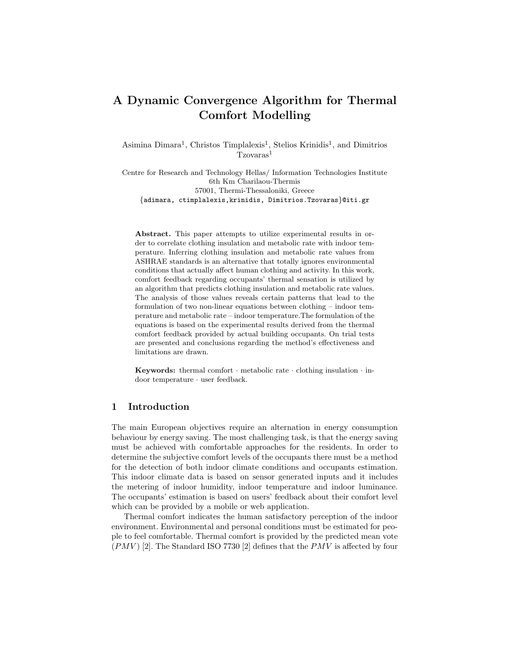# A Dynamic Convergence Algorithm for Thermal Comfort Modelling

Asimina Dimara<sup>1</sup>, Christos Timplalexis<sup>1</sup>, Stelios Krinidis<sup>1</sup>, and Dimitrios Tzovaras<sup>1</sup>

Centre for Research and Technology Hellas/ Information Technologies Institute 6th Km Charilaou-Thermis 57001, Thermi-Thessaloniki, Greece {adimara, ctimplalexis,krinidis, Dimitrios.Tzovaras}@iti.gr

Abstract. This paper attempts to utilize experimental results in order to correlate clothing insulation and metabolic rate with indoor temperature. Inferring clothing insulation and metabolic rate values from ASHRAE standards is an alternative that totally ignores environmental conditions that actually affect human clothing and activity. In this work, comfort feedback regarding occupants' thermal sensation is utilized by an algorithm that predicts clothing insulation and metabolic rate values. The analysis of those values reveals certain patterns that lead to the formulation of two non-linear equations between clothing – indoor temperature and metabolic rate – indoor temperature.The formulation of the equations is based on the experimental results derived from the thermal comfort feedback provided by actual building occupants. On trial tests are presented and conclusions regarding the method's effectiveness and limitations are drawn.

Keywords: thermal comfort  $\cdot$  metabolic rate  $\cdot$  clothing insulation  $\cdot$  indoor temperature · user feedback.

## 1 Introduction

The main European objectives require an alternation in energy consumption behaviour by energy saving. The most challenging task, is that the energy saving must be achieved with comfortable approaches for the residents. In order to determine the subjective comfort levels of the occupants there must be a method for the detection of both indoor climate conditions and occupants estimation. This indoor climate data is based on sensor generated inputs and it includes the metering of indoor humidity, indoor temperature and indoor luminance. The occupants' estimation is based on users' feedback about their comfort level which can be provided by a mobile or web application.

Thermal comfort indicates the human satisfactory perception of the indoor environment. Environmental and personal conditions must be estimated for people to feel comfortable. Thermal comfort is provided by the predicted mean vote  $(PMV)$  [2]. The Standard ISO 7730 [2] defines that the  $PMV$  is affected by four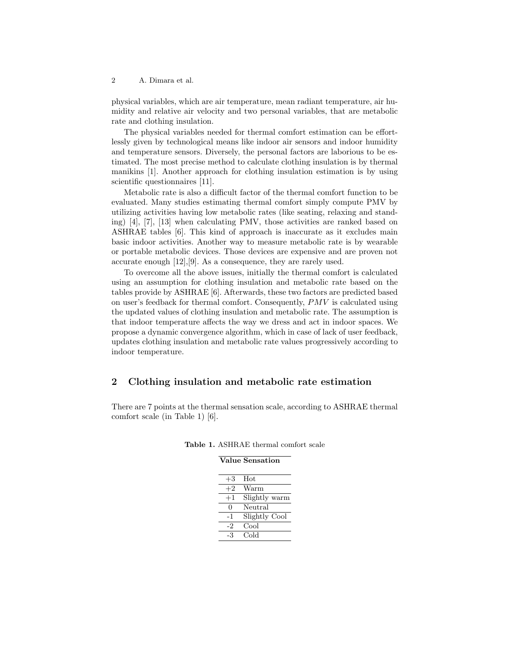physical variables, which are air temperature, mean radiant temperature, air humidity and relative air velocity and two personal variables, that are metabolic rate and clothing insulation.

The physical variables needed for thermal comfort estimation can be effortlessly given by technological means like indoor air sensors and indoor humidity and temperature sensors. Diversely, the personal factors are laborious to be estimated. The most precise method to calculate clothing insulation is by thermal manikins [1]. Another approach for clothing insulation estimation is by using scientific questionnaires [11].

Metabolic rate is also a difficult factor of the thermal comfort function to be evaluated. Many studies estimating thermal comfort simply compute PMV by utilizing activities having low metabolic rates (like seating, relaxing and standing) [4], [7], [13] when calculating PMV, those activities are ranked based on ASHRAE tables [6]. This kind of approach is inaccurate as it excludes main basic indoor activities. Another way to measure metabolic rate is by wearable or portable metabolic devices. Those devices are expensive and are proven not accurate enough [12],[9]. As a consequence, they are rarely used.

To overcome all the above issues, initially the thermal comfort is calculated using an assumption for clothing insulation and metabolic rate based on the tables provide by ASHRAE [6]. Afterwards, these two factors are predicted based on user's feedback for thermal comfort. Consequently,  $PMV$  is calculated using the updated values of clothing insulation and metabolic rate. The assumption is that indoor temperature affects the way we dress and act in indoor spaces. We propose a dynamic convergence algorithm, which in case of lack of user feedback, updates clothing insulation and metabolic rate values progressively according to indoor temperature.

# 2 Clothing insulation and metabolic rate estimation

There are 7 points at the thermal sensation scale, according to ASHRAE thermal comfort scale (in Table 1) [6].

| $+3$         | Hot           |
|--------------|---------------|
| $+2$         | Warm          |
| $+1$         | Slightly warm |
| $\mathbf{0}$ | Neutral       |
| -1           | Slightly Cool |
| -2           | Cool          |
| -3           | Cold          |
|              |               |

Value Sensation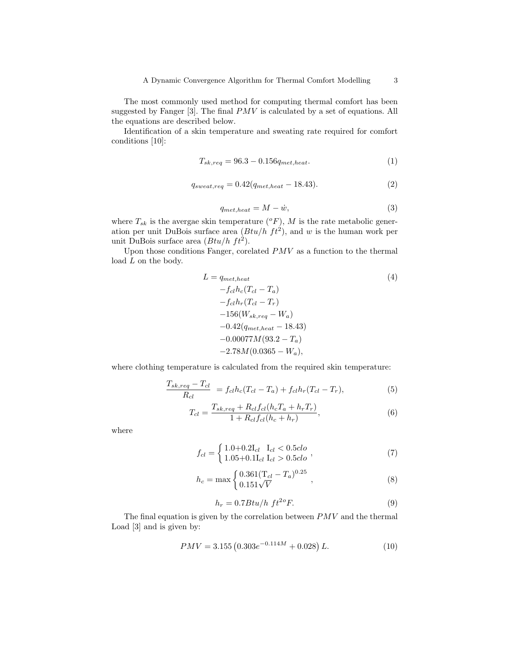The most commonly used method for computing thermal comfort has been suggested by Fanger [3]. The final PMV is calculated by a set of equations. All the equations are described below.

Identification of a skin temperature and sweating rate required for comfort conditions [10]:

$$
T_{sk,req} = 96.3 - 0.156q_{met,heat}.
$$
\n(1)

$$
q_{sweat,req} = 0.42(q_{met,heat} - 18.43). \tag{2}
$$

$$
q_{met, heat} = M - \dot{w},\tag{3}
$$

where  $T_{sk}$  is the avergae skin temperature  $({}^oF)$ , M is the rate metabolic generation per unit DuBois surface area  $(Btu/h ft^2)$ , and w is the human work per unit DuBois surface area  $(Btu/h ft^2)$ .

Upon those conditions Fanger, corelated PMV as a function to the thermal load L on the body.

$$
L = q_{met, heat}
$$
  
\n
$$
-f_{cl}h_c(T_{cl} - T_a)
$$
  
\n
$$
-f_{cl}h_r(T_{cl} - T_r)
$$
  
\n
$$
-156(W_{sk, req} - W_a)
$$
  
\n
$$
-0.42(q_{met, heat} - 18.43)
$$
  
\n
$$
-0.00077M(93.2 - T_a)
$$
  
\n
$$
-2.78M(0.0365 - W_a),
$$

where clothing temperature is calculated from the required skin temperature:

$$
\frac{T_{sk,req} - T_{cl}}{R_{cl}} = f_{cl}h_c(T_{cl} - T_a) + f_{cl}h_r(T_{cl} - T_r),
$$
\n(5)

$$
T_{cl} = \frac{T_{sk,req} + R_{cl}f_{cl}(h_c T_a + h_r T_r)}{1 + R_{cl}f_{cl}(h_c + h_r)},
$$
\n(6)

where

$$
f_{cl} = \begin{cases} 1.0 + 0.2I_{cl} & I_{cl} < 0.5clo \\ 1.05 + 0.1I_{cl} & I_{cl} > 0.5clo \end{cases},
$$
(7)

$$
h_c = \max\left\{ \frac{0.361(T_{cl} - T_a)^{0.25}}{0.151\sqrt{V}} \right\},\tag{8}
$$

$$
h_r = 0.7Btu/h \ ft^{2o}F.
$$
\n(9)

The final equation is given by the correlation between PMV and the thermal Load [3] and is given by:

$$
PMV = 3.155 (0.303e^{-0.114M} + 0.028) L.
$$
 (10)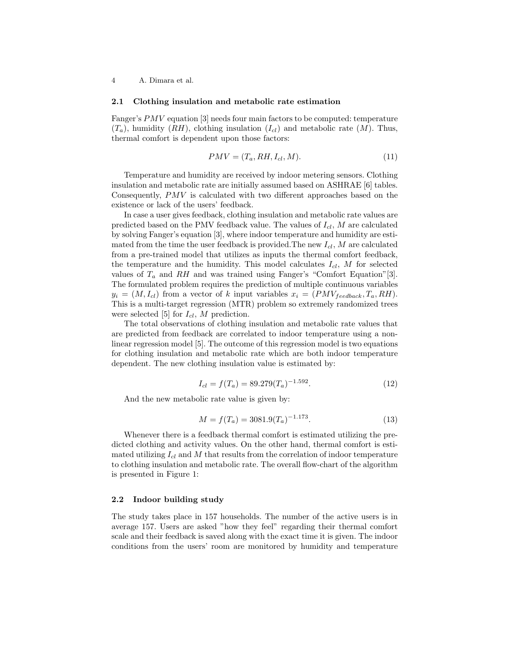#### 2.1 Clothing insulation and metabolic rate estimation

Fanger's PMV equation [3] needs four main factors to be computed: temperature  $(T_a)$ , humidity  $(RH)$ , clothing insulation  $(I_{cl})$  and metabolic rate  $(M)$ . Thus, thermal comfort is dependent upon those factors:

$$
PMV = (T_a, RH, I_{cl}, M). \tag{11}
$$

Temperature and humidity are received by indoor metering sensors. Clothing insulation and metabolic rate are initially assumed based on ASHRAE [6] tables. Consequently, PMV is calculated with two different approaches based on the existence or lack of the users' feedback.

In case a user gives feedback, clothing insulation and metabolic rate values are predicted based on the PMV feedback value. The values of  $I_{cl}$ , M are calculated by solving Fanger's equation [3], where indoor temperature and humidity are estimated from the time the user feedback is provided. The new  $I_{cl}$ , M are calculated from a pre-trained model that utilizes as inputs the thermal comfort feedback, the temperature and the humidity. This model calculates  $I_{cl}$ , M for selected values of  $T_a$  and RH and was trained using Fanger's "Comfort Equation"[3]. The formulated problem requires the prediction of multiple continuous variables  $y_i = (M, I_{cl})$  from a vector of k input variables  $x_i = (PMV_{feedback}, T_a, RH)$ . This is a multi-target regression (MTR) problem so extremely randomized trees were selected [5] for  $I_{cl}$ , M prediction.

The total observations of clothing insulation and metabolic rate values that are predicted from feedback are correlated to indoor temperature using a nonlinear regression model [5]. The outcome of this regression model is two equations for clothing insulation and metabolic rate which are both indoor temperature dependent. The new clothing insulation value is estimated by:

$$
I_{cl} = f(T_a) = 89.279(T_a)^{-1.592}.
$$
\n(12)

And the new metabolic rate value is given by:

$$
M = f(T_a) = 3081.9(T_a)^{-1.173}.
$$
\n(13)

Whenever there is a feedback thermal comfort is estimated utilizing the predicted clothing and activity values. On the other hand, thermal comfort is estimated utilizing  $I_{cl}$  and M that results from the correlation of indoor temperature to clothing insulation and metabolic rate. The overall flow-chart of the algorithm is presented in Figure 1:

#### 2.2 Indoor building study

The study takes place in 157 households. The number of the active users is in average 157. Users are asked "how they feel" regarding their thermal comfort scale and their feedback is saved along with the exact time it is given. The indoor conditions from the users' room are monitored by humidity and temperature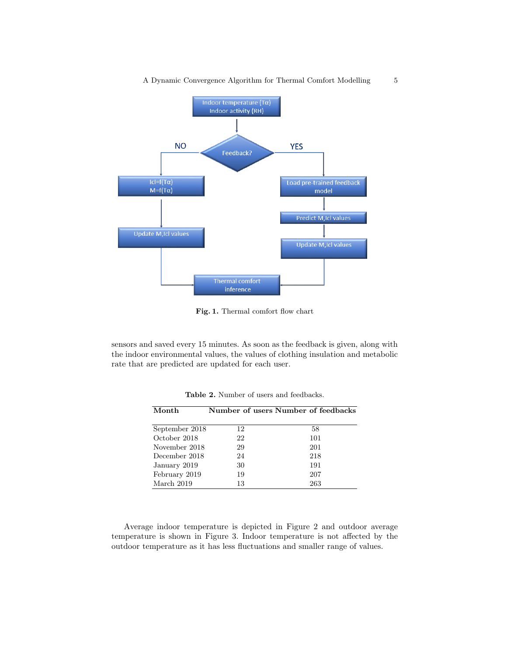

Fig. 1. Thermal comfort flow chart

sensors and saved every 15 minutes. As soon as the feedback is given, along with the indoor environmental values, the values of clothing insulation and metabolic rate that are predicted are updated for each user.

| Month          |    | Number of users Number of feedbacks |
|----------------|----|-------------------------------------|
| September 2018 | 12 | 58                                  |
| October 2018   | 22 | 101                                 |
| November 2018  | 29 | 201                                 |
| December 2018  | 24 | 218                                 |
| January 2019   | 30 | 191                                 |
| February 2019  | 19 | 207                                 |
| March 2019     | 13 | 263                                 |

Table 2. Number of users and feedbacks.

Average indoor temperature is depicted in Figure 2 and outdoor average temperature is shown in Figure 3. Indoor temperature is not affected by the outdoor temperature as it has less fluctuations and smaller range of values.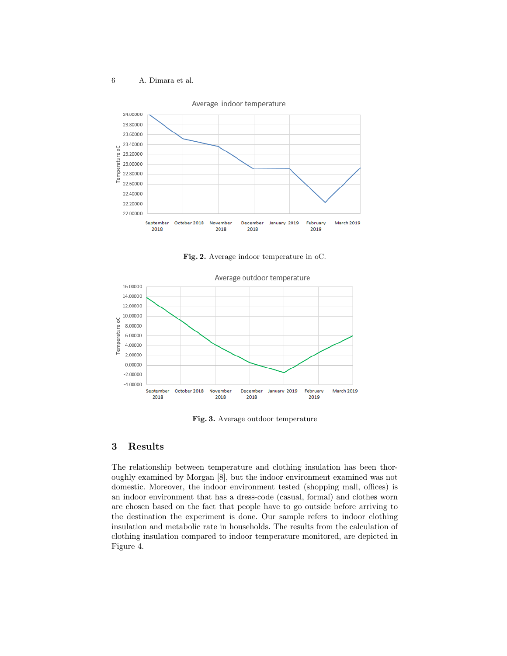

Fig. 2. Average indoor temperature in oC.



Fig. 3. Average outdoor temperature

# 3 Results

The relationship between temperature and clothing insulation has been thoroughly examined by Morgan [8], but the indoor environment examined was not domestic. Moreover, the indoor environment tested (shopping mall, offices) is an indoor environment that has a dress-code (casual, formal) and clothes worn are chosen based on the fact that people have to go outside before arriving to the destination the experiment is done. Our sample refers to indoor clothing insulation and metabolic rate in households. The results from the calculation of clothing insulation compared to indoor temperature monitored, are depicted in Figure 4.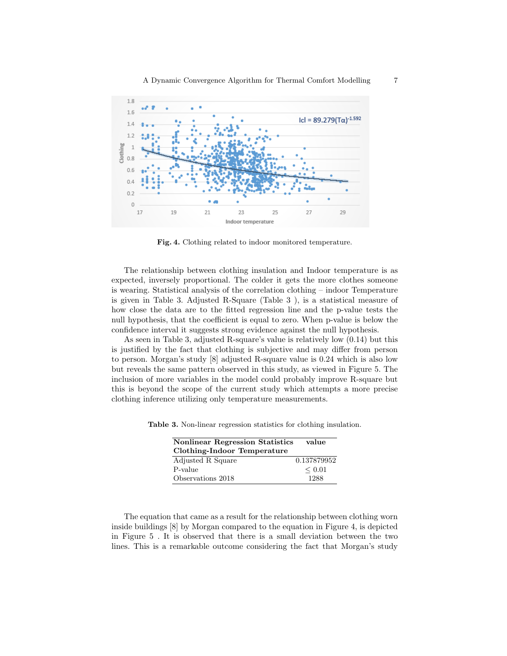

Fig. 4. Clothing related to indoor monitored temperature.

The relationship between clothing insulation and Indoor temperature is as expected, inversely proportional. The colder it gets the more clothes someone is wearing. Statistical analysis of the correlation clothing – indoor Temperature is given in Table 3. Adjusted R-Square (Table 3 ), is a statistical measure of how close the data are to the fitted regression line and the p-value tests the null hypothesis, that the coefficient is equal to zero. When p-value is below the confidence interval it suggests strong evidence against the null hypothesis.

As seen in Table 3, adjusted R-square's value is relatively low (0.14) but this is justified by the fact that clothing is subjective and may differ from person to person. Morgan's study [8] adjusted R-square value is 0.24 which is also low but reveals the same pattern observed in this study, as viewed in Figure 5. The inclusion of more variables in the model could probably improve R-square but this is beyond the scope of the current study which attempts a more precise clothing inference utilizing only temperature measurements.

Table 3. Non-linear regression statistics for clothing insulation.

| <b>Nonlinear Regression Statistics</b> | value       |
|----------------------------------------|-------------|
| <b>Clothing-Indoor Temperature</b>     |             |
| Adjusted R Square                      | 0.137879952 |
| P-value                                | $\leq 0.01$ |
| Observations 2018                      | 1288        |

The equation that came as a result for the relationship between clothing worn inside buildings [8] by Morgan compared to the equation in Figure 4, is depicted in Figure 5 . It is observed that there is a small deviation between the two lines. This is a remarkable outcome considering the fact that Morgan's study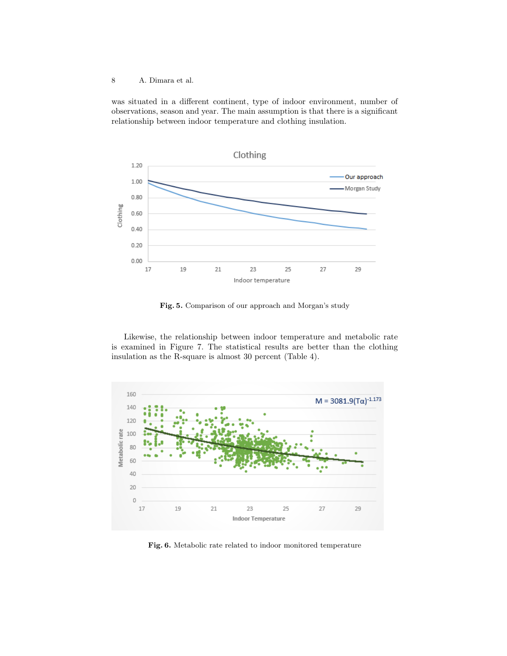was situated in a different continent, type of indoor environment, number of observations, season and year. The main assumption is that there is a significant relationship between indoor temperature and clothing insulation.



Fig. 5. Comparison of our approach and Morgan's study

Likewise, the relationship between indoor temperature and metabolic rate is examined in Figure 7. The statistical results are better than the clothing insulation as the R-square is almost 30 percent (Table 4).



Fig. 6. Metabolic rate related to indoor monitored temperature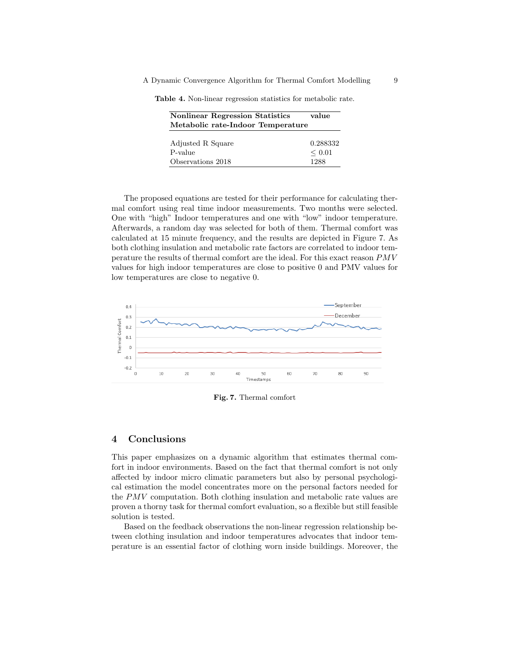| Nonlinear Regression Statistics<br>Metabolic rate-Indoor Temperature | value      |
|----------------------------------------------------------------------|------------|
| Adjusted R Square                                                    | 0.288332   |
| P-value                                                              | ${}< 0.01$ |
| Observations 2018                                                    | 1288       |

Table 4. Non-linear regression statistics for metabolic rate.

The proposed equations are tested for their performance for calculating thermal comfort using real time indoor measurements. Two months were selected. One with "high" Indoor temperatures and one with "low" indoor temperature. Afterwards, a random day was selected for both of them. Thermal comfort was calculated at 15 minute frequency, and the results are depicted in Figure 7. As both clothing insulation and metabolic rate factors are correlated to indoor temperature the results of thermal comfort are the ideal. For this exact reason PMV values for high indoor temperatures are close to positive 0 and PMV values for low temperatures are close to negative 0.



Fig. 7. Thermal comfort

## 4 Conclusions

This paper emphasizes on a dynamic algorithm that estimates thermal comfort in indoor environments. Based on the fact that thermal comfort is not only affected by indoor micro climatic parameters but also by personal psychological estimation the model concentrates more on the personal factors needed for the PMV computation. Both clothing insulation and metabolic rate values are proven a thorny task for thermal comfort evaluation, so a flexible but still feasible solution is tested.

Based on the feedback observations the non-linear regression relationship between clothing insulation and indoor temperatures advocates that indoor temperature is an essential factor of clothing worn inside buildings. Moreover, the